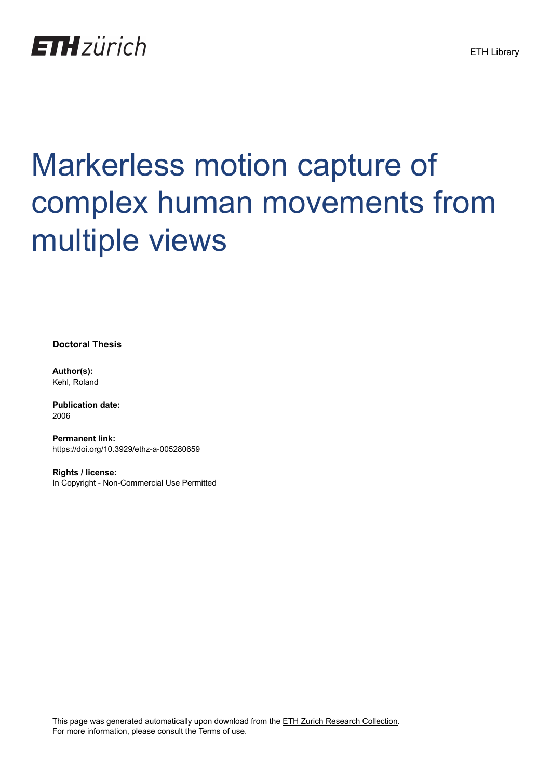

# Markerless motion capture of complex human movements from multiple views

**Doctoral Thesis**

**Author(s):** Kehl, Roland

**Publication date:** 2006

**Permanent link:** <https://doi.org/10.3929/ethz-a-005280659>

**Rights / license:** [In Copyright - Non-Commercial Use Permitted](http://rightsstatements.org/page/InC-NC/1.0/)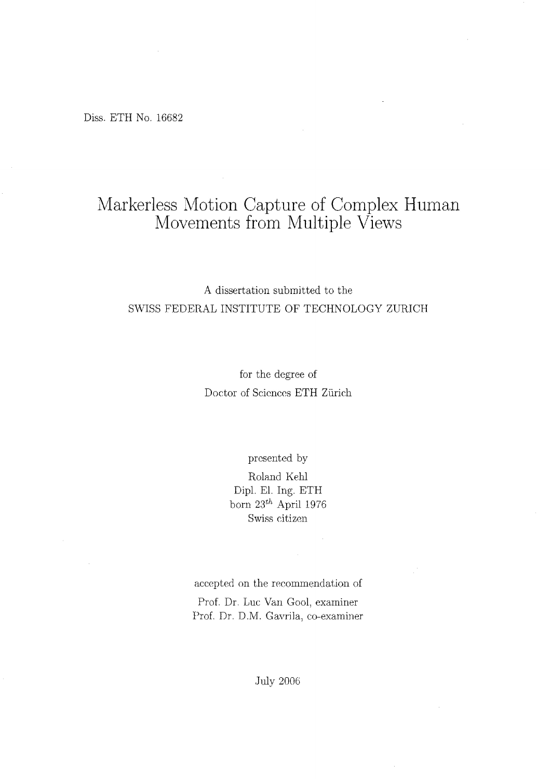Diss. ETH No. <sup>16682</sup>

### Markerless Motion Capture of Complex Human Movements from Multiple Views

#### A dissertation submitted to the SWISS FEDERAL INSTITUTE OF TECHNOLOGY ZURICH

for the degree of Doctor of Sciences ETH Zürich

presented by

Roland Kehl Dipl. El. Ing. ETH born  $23^{th}$  April 1976 Swiss Citizen

aeeepted on the recommendation of

Prof. Dr. Luc Van Gool, examiner Prof. Dr. D.M. Gavrila, co-examiner

**July 2006**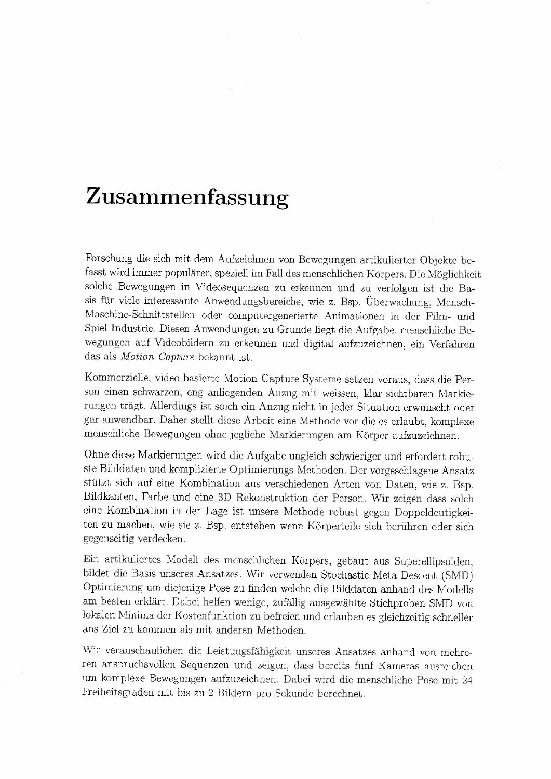## Zusammenfassung

Forschung die sich mit dem Aufzeichnen von Bewegungen artikulierter Objekte befasst wird immerpopulärer, speziell im Fall des menschlichen Körpers.Die Möglichkeit solche Bewegungen in Videosequenzen zu erkennen und zu verfolgen ist die Basis für viele interessante Anwendungsbereiche, wie z. Bsp. Überwachung, Mensch-Maschine-Schnittstellen oder computergenerierte Animationen in der Film- und Spiel-Industrie. Diesen Anwendungen zu Grunde liegt die Aufgabe, menschliche Bewegungen auf Videobildern zu erkennen und digital aufzuzeichnen, ein Verfahren das als Motion Capture bekannt ist.

Kommerzielle, video-basierte Motion Capture Systeme setzen voraus, dass die Per son einen schwarzen, eng anliegenden Anzug mit, weissen, klar sichtbaren Markierungen trägt. Allerdings ist solch ein Anzug nicht in jeder Situationerwünscht oder gar anwendbar. Daher stellt diese Arbeit eine Methodevor die es erlaubt, komplexe menschliche Bewegungen ohne jegliche Markierungenam Körper aufzuzeichnen.

Ohne diese Markierungen wird die Aufgabe ungleich schwieriger und erfordert robuste Bilddaten und komplizierte Optimierungs-Methoden. Der vorgeschlagene Ansatz stützt sich auf eine Kombination aus verschiedenen Arten von Daten, wie z. Bsp. Bildkanten, Farbe und eine 3D Rekonstruktion der Person. Wir zeigen dass solch eine Kombination in der Lage ist unsere Methode robust gegen Doppeldeutigkeiten zu machen, wie sie z. Bsp. entstehen wenn Körperteile sich berühren oder sich gegenseitig verdecken.

Ein artikuliertes Modell des menschlichen Körpers, gebaut aus Superellipsoiden, Optimierung um diejenige Pose zu finden welche die Bilddaten anhand des Modells am besten erklärt. Dabei helfen wenige, zufällig ausgewählte Stichproben SMD von lokalen Minima der Kostenfunktion zu befreien und erlauben es gleichzeitig schneller ans Ziel zu kommen als mit anderen Methoden.

Wir veranschaulichen die Leistungsfähigkeit unseres Ansatzes anhand von mehreren anspruchsvollen Sequenzen und zeigen, dass bereits fünf Kameras ausreichen um komplexe Bewegungen aufzuzeichnen.Dabei wird die menschliche Pose mit <sup>24</sup> Freiheitsgraden mit bis zu 2 Bildern pro Sekunde berechnet.